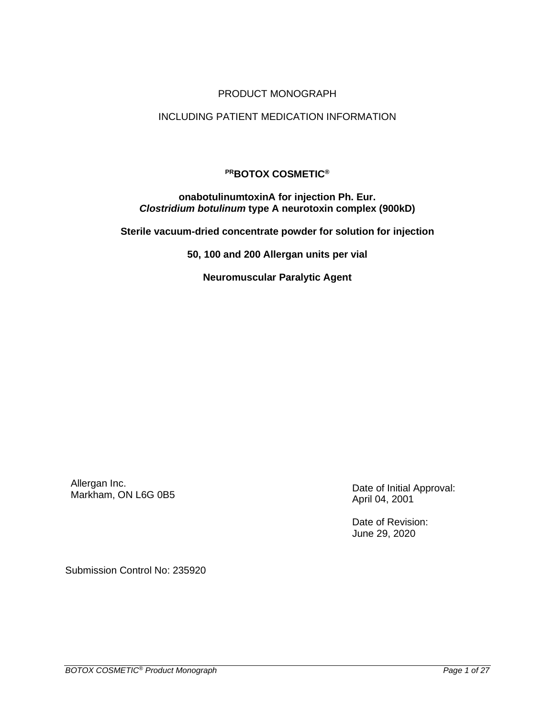# PRODUCT MONOGRAPH

### INCLUDING PATIENT MEDICATION INFORMATION

# **PRBOTOX COSMETIC®**

#### **onabotulinumtoxinA for injection Ph. Eur.** *Clostridium botulinum* **type A neurotoxin complex (900kD)**

**Sterile vacuum-dried concentrate powder for solution for injection**

**50, 100 and 200 Allergan units per vial**

**Neuromuscular Paralytic Agent**

Allergan Inc. Allergan inc.<br>Markham, ON L6G 0B5 Date of Initial Approval:

April 04, 2001

Date of Revision: June 29, 2020

Submission Control No: 235920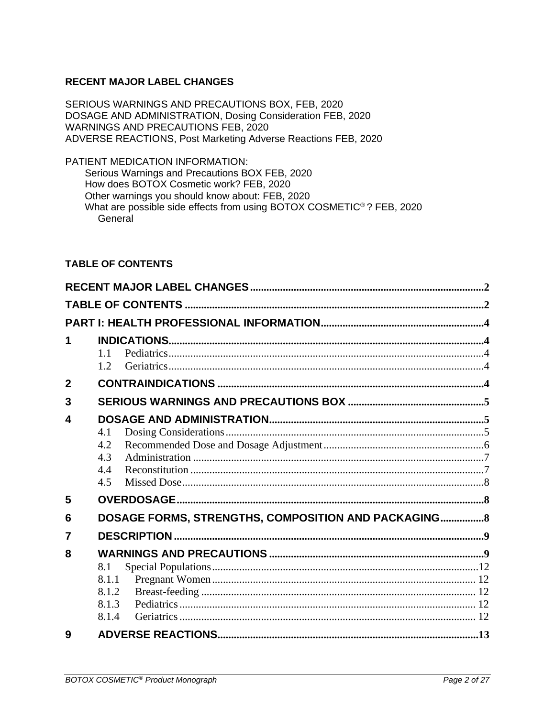# <span id="page-1-0"></span>**RECENT MAJOR LABEL CHANGES**

SERIOUS WARNINGS AND PRECAUTIONS BOX, FEB, 2020 DOSAGE AND ADMINISTRATION, Dosing Consideration FEB, 2020 WARNINGS AND PRECAUTIONS FEB, 2020 ADVERSE REACTIONS, Post Marketing Adverse Reactions FEB, 2020

PATIENT MEDICATION INFORMATION: Serious Warnings and Precautions BOX FEB, 2020 How does BOTOX Cosmetic work? FEB, 2020 Other warnings you should know about: FEB, 2020 What are possible side effects from using BOTOX COSMETIC<sup>®</sup>? FEB, 2020 General

# <span id="page-1-1"></span>**TABLE OF CONTENTS**

| 1              |       |                                                      |  |
|----------------|-------|------------------------------------------------------|--|
|                | 1.1   |                                                      |  |
|                | 1.2   |                                                      |  |
| $\mathbf{2}$   |       |                                                      |  |
| 3              |       |                                                      |  |
| 4              |       |                                                      |  |
|                | 4.1   |                                                      |  |
|                | 4.2   |                                                      |  |
|                | 4.3   |                                                      |  |
|                | 4.4   |                                                      |  |
|                | 4.5   |                                                      |  |
| 5              |       |                                                      |  |
| 6              |       | DOSAGE FORMS, STRENGTHS, COMPOSITION AND PACKAGING 8 |  |
| $\overline{7}$ |       |                                                      |  |
| 8              |       |                                                      |  |
|                | 8.1   |                                                      |  |
|                | 8.1.1 |                                                      |  |
|                | 8.1.2 |                                                      |  |
|                | 8.1.3 |                                                      |  |
|                | 8.1.4 |                                                      |  |
| q              |       |                                                      |  |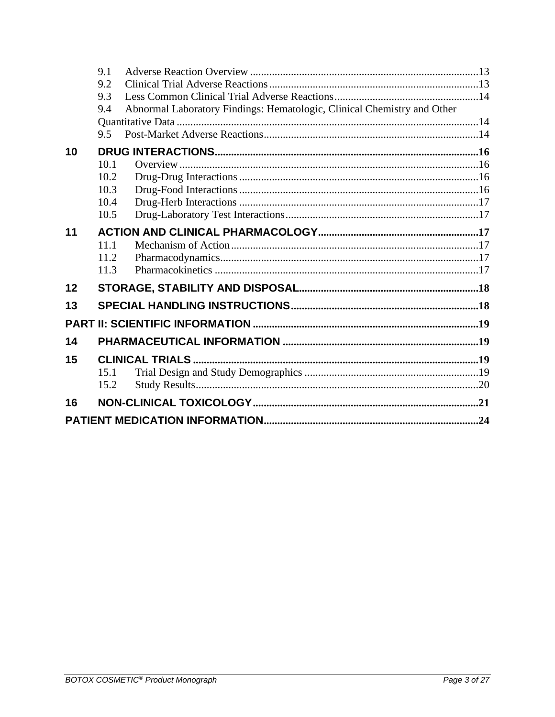|    | 9.1  |                                                                         |  |  |
|----|------|-------------------------------------------------------------------------|--|--|
|    | 9.2  |                                                                         |  |  |
|    | 9.3  |                                                                         |  |  |
|    | 9.4  | Abnormal Laboratory Findings: Hematologic, Clinical Chemistry and Other |  |  |
|    |      |                                                                         |  |  |
|    | 9.5  |                                                                         |  |  |
| 10 |      |                                                                         |  |  |
|    | 10.1 |                                                                         |  |  |
|    | 10.2 |                                                                         |  |  |
|    | 10.3 |                                                                         |  |  |
|    | 10.4 |                                                                         |  |  |
|    | 10.5 |                                                                         |  |  |
| 11 |      |                                                                         |  |  |
|    | 11.1 |                                                                         |  |  |
|    | 11.2 |                                                                         |  |  |
|    | 11.3 |                                                                         |  |  |
| 12 |      |                                                                         |  |  |
| 13 |      |                                                                         |  |  |
|    |      |                                                                         |  |  |
| 14 |      |                                                                         |  |  |
| 15 |      |                                                                         |  |  |
|    | 15.1 |                                                                         |  |  |
|    | 15.2 |                                                                         |  |  |
| 16 |      |                                                                         |  |  |
|    |      |                                                                         |  |  |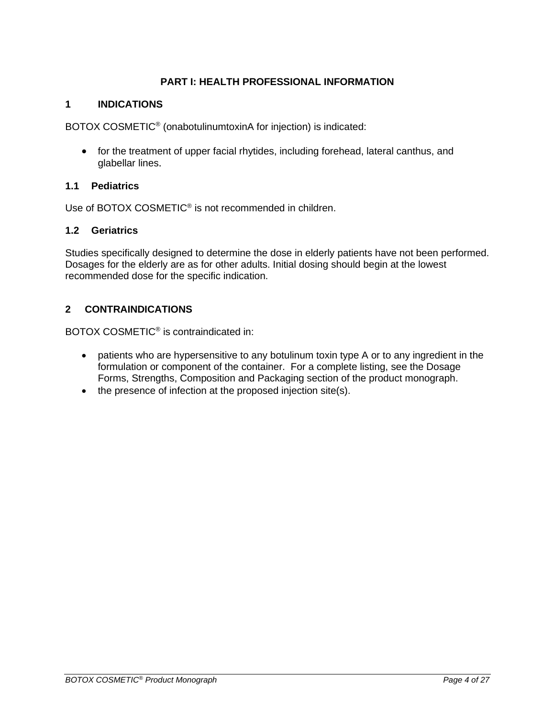# **PART I: HEALTH PROFESSIONAL INFORMATION**

# <span id="page-3-1"></span><span id="page-3-0"></span>**1 INDICATIONS**

BOTOX COSMETIC® (onabotulinumtoxinA for injection) is indicated:

• for the treatment of upper facial rhytides, including forehead, lateral canthus, and glabellar lines.

# <span id="page-3-2"></span>**1.1 Pediatrics**

Use of BOTOX COSMETIC<sup>®</sup> is not recommended in children.

# <span id="page-3-3"></span>**1.2 Geriatrics**

Studies specifically designed to determine the dose in elderly patients have not been performed. Dosages for the elderly are as for other adults. Initial dosing should begin at the lowest recommended dose for the specific indication.

# <span id="page-3-4"></span>**2 CONTRAINDICATIONS**

BOTOX COSMETIC® is contraindicated in:

- patients who are hypersensitive to any botulinum toxin type A or to any ingredient in the formulation or component of the container. For a complete listing, see the Dosage Forms, Strengths, Composition and Packaging section of the product monograph.
- the presence of infection at the proposed injection site(s).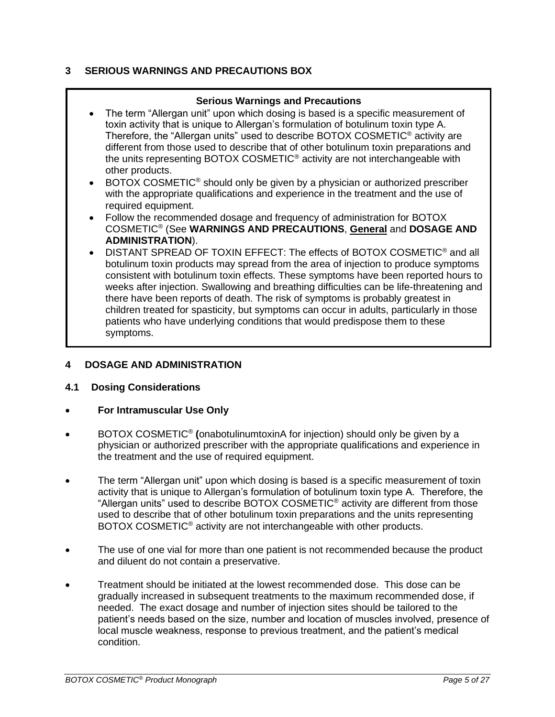# <span id="page-4-0"></span>**3 SERIOUS WARNINGS AND PRECAUTIONS BOX**

# **Serious Warnings and Precautions**

- The term "Allergan unit" upon which dosing is based is a specific measurement of toxin activity that is unique to Allergan's formulation of botulinum toxin type A. Therefore, the "Allergan units" used to describe BOTOX COSMETIC® activity are different from those used to describe that of other botulinum toxin preparations and the units representing BOTOX COSMETIC® activity are not interchangeable with other products.
- BOTOX COSMETIC<sup>®</sup> should only be given by a physician or authorized prescriber with the appropriate qualifications and experience in the treatment and the use of required equipment.
- Follow the recommended dosage and frequency of administration for BOTOX COSMETIC® (See **WARNINGS AND PRECAUTIONS**, **General** and **DOSAGE AND ADMINISTRATION**).
- DISTANT SPREAD OF TOXIN EFFECT: The effects of BOTOX COSMETIC® and all botulinum toxin products may spread from the area of injection to produce symptoms consistent with botulinum toxin effects. These symptoms have been reported hours to weeks after injection. Swallowing and breathing difficulties can be life-threatening and there have been reports of death. The risk of symptoms is probably greatest in children treated for spasticity, but symptoms can occur in adults, particularly in those patients who have underlying conditions that would predispose them to these symptoms.

# <span id="page-4-1"></span>**4 DOSAGE AND ADMINISTRATION**

# <span id="page-4-2"></span>**4.1 Dosing Considerations**

- **For Intramuscular Use Only**
- BOTOX COSMETIC® **(**onabotulinumtoxinA for injection) should only be given by a physician or authorized prescriber with the appropriate qualifications and experience in the treatment and the use of required equipment.
- The term "Allergan unit" upon which dosing is based is a specific measurement of toxin activity that is unique to Allergan's formulation of botulinum toxin type A. Therefore, the "Allergan units" used to describe BOTOX COSMETIC® activity are different from those used to describe that of other botulinum toxin preparations and the units representing BOTOX COSMETIC<sup>®</sup> activity are not interchangeable with other products.
- The use of one vial for more than one patient is not recommended because the product and diluent do not contain a preservative.
- Treatment should be initiated at the lowest recommended dose. This dose can be gradually increased in subsequent treatments to the maximum recommended dose, if needed. The exact dosage and number of injection sites should be tailored to the patient's needs based on the size, number and location of muscles involved, presence of local muscle weakness, response to previous treatment, and the patient's medical condition.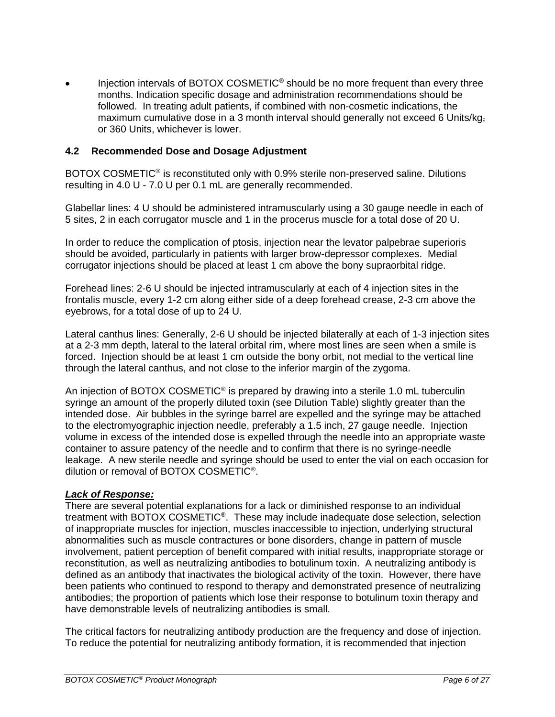Injection intervals of BOTOX COSMETIC<sup>®</sup> should be no more frequent than every three months. Indication specific dosage and administration recommendations should be followed. In treating adult patients, if combined with non-cosmetic indications, the maximum cumulative dose in a 3 month interval should generally not exceed 6 Units/kg, or 360 Units, whichever is lower.

### <span id="page-5-0"></span>**4.2 Recommended Dose and Dosage Adjustment**

BOTOX COSMETIC<sup>®</sup> is reconstituted only with 0.9% sterile non-preserved saline. Dilutions resulting in 4.0 U - 7.0 U per 0.1 mL are generally recommended.

Glabellar lines: 4 U should be administered intramuscularly using a 30 gauge needle in each of 5 sites, 2 in each corrugator muscle and 1 in the procerus muscle for a total dose of 20 U.

In order to reduce the complication of ptosis, injection near the levator palpebrae superioris should be avoided, particularly in patients with larger brow-depressor complexes. Medial corrugator injections should be placed at least 1 cm above the bony supraorbital ridge.

Forehead lines: 2-6 U should be injected intramuscularly at each of 4 injection sites in the frontalis muscle, every 1-2 cm along either side of a deep forehead crease, 2-3 cm above the eyebrows, for a total dose of up to 24 U.

Lateral canthus lines: Generally, 2-6 U should be injected bilaterally at each of 1-3 injection sites at a 2-3 mm depth, lateral to the lateral orbital rim, where most lines are seen when a smile is forced. Injection should be at least 1 cm outside the bony orbit, not medial to the vertical line through the lateral canthus, and not close to the inferior margin of the zygoma.

An injection of BOTOX COSMETIC<sup>®</sup> is prepared by drawing into a sterile 1.0 mL tuberculin syringe an amount of the properly diluted toxin (see Dilution Table) slightly greater than the intended dose. Air bubbles in the syringe barrel are expelled and the syringe may be attached to the electromyographic injection needle, preferably a 1.5 inch, 27 gauge needle. Injection volume in excess of the intended dose is expelled through the needle into an appropriate waste container to assure patency of the needle and to confirm that there is no syringe-needle leakage. A new sterile needle and syringe should be used to enter the vial on each occasion for dilution or removal of BOTOX COSMETIC® .

### *Lack of Response:*

There are several potential explanations for a lack or diminished response to an individual treatment with BOTOX COSMETIC<sup>®</sup>. These may include inadequate dose selection, selection of inappropriate muscles for injection, muscles inaccessible to injection, underlying structural abnormalities such as muscle contractures or bone disorders, change in pattern of muscle involvement, patient perception of benefit compared with initial results, inappropriate storage or reconstitution, as well as neutralizing antibodies to botulinum toxin. A neutralizing antibody is defined as an antibody that inactivates the biological activity of the toxin. However, there have been patients who continued to respond to therapy and demonstrated presence of neutralizing antibodies; the proportion of patients which lose their response to botulinum toxin therapy and have demonstrable levels of neutralizing antibodies is small.

The critical factors for neutralizing antibody production are the frequency and dose of injection. To reduce the potential for neutralizing antibody formation, it is recommended that injection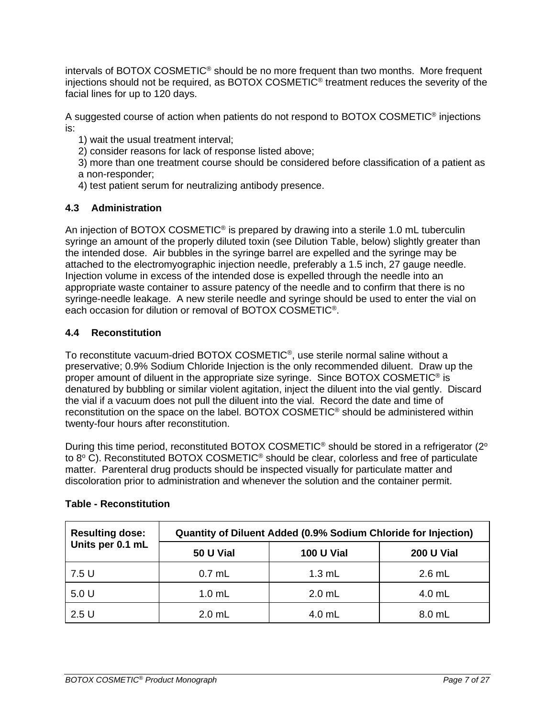intervals of BOTOX COSMETIC® should be no more frequent than two months. More frequent injections should not be required, as BOTOX COSMETIC<sup>®</sup> treatment reduces the severity of the facial lines for up to 120 days.

A suggested course of action when patients do not respond to BOTOX COSMETIC<sup>®</sup> injections is:

- 1) wait the usual treatment interval;
- 2) consider reasons for lack of response listed above;
- 3) more than one treatment course should be considered before classification of a patient as a non-responder;
- 4) test patient serum for neutralizing antibody presence.

# <span id="page-6-0"></span>**4.3 Administration**

An injection of BOTOX COSMETIC<sup>®</sup> is prepared by drawing into a sterile 1.0 mL tuberculin syringe an amount of the properly diluted toxin (see Dilution Table, below) slightly greater than the intended dose. Air bubbles in the syringe barrel are expelled and the syringe may be attached to the electromyographic injection needle, preferably a 1.5 inch, 27 gauge needle. Injection volume in excess of the intended dose is expelled through the needle into an appropriate waste container to assure patency of the needle and to confirm that there is no syringe-needle leakage. A new sterile needle and syringe should be used to enter the vial on each occasion for dilution or removal of BOTOX COSMETIC® .

# <span id="page-6-1"></span>**4.4 Reconstitution**

To reconstitute vacuum-dried BOTOX COSMETIC® , use sterile normal saline without a preservative; 0.9% Sodium Chloride Injection is the only recommended diluent. Draw up the proper amount of diluent in the appropriate size syringe. Since BOTOX COSMETIC<sup>®</sup> is denatured by bubbling or similar violent agitation, inject the diluent into the vial gently. Discard the vial if a vacuum does not pull the diluent into the vial. Record the date and time of reconstitution on the space on the label. BOTOX COSMETIC® should be administered within twenty-four hours after reconstitution.

During this time period, reconstituted BOTOX COSMETIC<sup>®</sup> should be stored in a refrigerator (2<sup>o</sup> to 8° C). Reconstituted BOTOX COSMETIC<sup>®</sup> should be clear, colorless and free of particulate matter. Parenteral drug products should be inspected visually for particulate matter and discoloration prior to administration and whenever the solution and the container permit.

| <b>Resulting dose:</b> | Quantity of Diluent Added (0.9% Sodium Chloride for Injection) |                   |                   |  |
|------------------------|----------------------------------------------------------------|-------------------|-------------------|--|
| Units per 0.1 mL       | 50 U Vial                                                      | <b>100 U Vial</b> | <b>200 U Vial</b> |  |
| 7.5 U                  | $0.7$ mL                                                       | $1.3$ mL          | $2.6$ mL          |  |
| 5.0 U                  | $1.0$ mL                                                       | $2.0$ mL          | 4.0 mL            |  |
| 2.5U                   | $2.0$ mL                                                       | 4.0 mL            | 8.0 mL            |  |

# **Table - Reconstitution**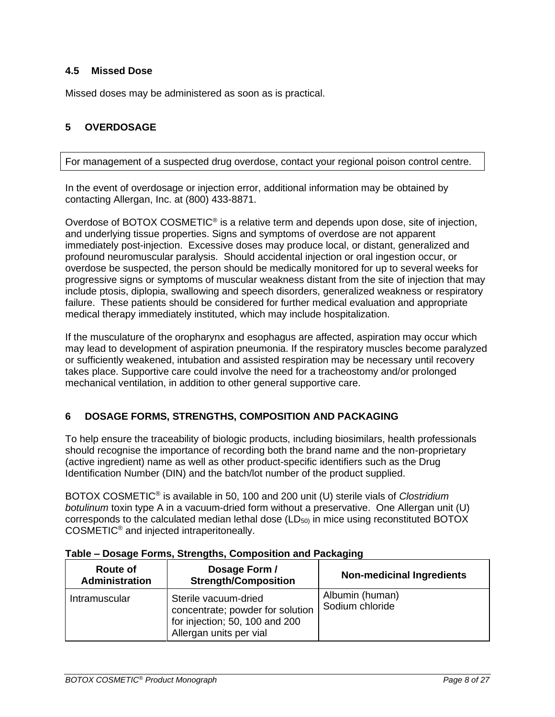### <span id="page-7-0"></span>**4.5 Missed Dose**

Missed doses may be administered as soon as is practical.

# <span id="page-7-1"></span>**5 OVERDOSAGE**

For management of a suspected drug overdose, contact your regional poison control centre.

In the event of overdosage or injection error, additional information may be obtained by contacting Allergan, Inc. at (800) 433-8871.

Overdose of BOTOX COSMETIC<sup>®</sup> is a relative term and depends upon dose, site of injection, and underlying tissue properties. Signs and symptoms of overdose are not apparent immediately post-injection. Excessive doses may produce local, or distant, generalized and profound neuromuscular paralysis. Should accidental injection or oral ingestion occur, or overdose be suspected, the person should be medically monitored for up to several weeks for progressive signs or symptoms of muscular weakness distant from the site of injection that may include ptosis, diplopia, swallowing and speech disorders, generalized weakness or respiratory failure. These patients should be considered for further medical evaluation and appropriate medical therapy immediately instituted, which may include hospitalization.

If the musculature of the oropharynx and esophagus are affected, aspiration may occur which may lead to development of aspiration pneumonia. If the respiratory muscles become paralyzed or sufficiently weakened, intubation and assisted respiration may be necessary until recovery takes place. Supportive care could involve the need for a tracheostomy and/or prolonged mechanical ventilation, in addition to other general supportive care.

# <span id="page-7-2"></span>**6 DOSAGE FORMS, STRENGTHS, COMPOSITION AND PACKAGING**

To help ensure the traceability of biologic products, including biosimilars, health professionals should recognise the importance of recording both the brand name and the non-proprietary (active ingredient) name as well as other product-specific identifiers such as the Drug Identification Number (DIN) and the batch/lot number of the product supplied.

BOTOX COSMETIC® is available in 50, 100 and 200 unit (U) sterile vials of *Clostridium botulinum* toxin type A in a vacuum-dried form without a preservative. One Allergan unit (U) corresponds to the calculated median lethal dose  $(LD_{50})$  in mice using reconstituted BOTOX COSMETIC® and injected intraperitoneally.

| Route of<br><b>Administration</b> | Dosage Form /<br><b>Strength/Composition</b>                                                                          | <b>Non-medicinal Ingredients</b>   |
|-----------------------------------|-----------------------------------------------------------------------------------------------------------------------|------------------------------------|
| <b>Intramuscular</b>              | Sterile vacuum-dried<br>concentrate; powder for solution<br>for injection; 50, 100 and 200<br>Allergan units per vial | Albumin (human)<br>Sodium chloride |

#### **Table – Dosage Forms, Strengths, Composition and Packaging**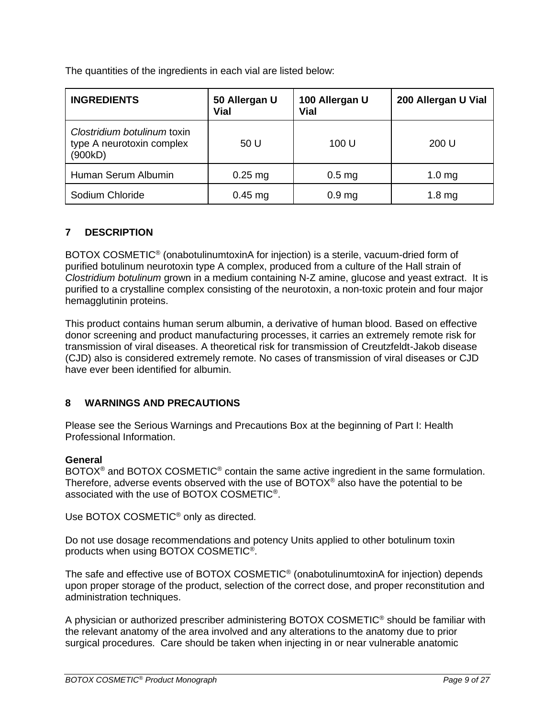The quantities of the ingredients in each vial are listed below:

| <b>INGREDIENTS</b>                                                  | 50 Allergan U<br><b>Vial</b> | 100 Allergan U<br>Vial | 200 Allergan U Vial |
|---------------------------------------------------------------------|------------------------------|------------------------|---------------------|
| Clostridium botulinum toxin<br>type A neurotoxin complex<br>(900kD) | 50 U                         | 100 U                  | 200 U               |
| Human Serum Albumin                                                 | $0.25$ mg                    | 0.5 <sub>mg</sub>      | 1.0 <sub>mg</sub>   |
| Sodium Chloride                                                     | $0.45$ mg                    | 0.9 <sub>mg</sub>      | 1.8 <sub>mg</sub>   |

# <span id="page-8-0"></span>**7 DESCRIPTION**

BOTOX COSMETIC<sup>®</sup> (onabotulinumtoxinA for injection) is a sterile, vacuum-dried form of purified botulinum neurotoxin type A complex, produced from a culture of the Hall strain of *Clostridium botulinum* grown in a medium containing N-Z amine, glucose and yeast extract. It is purified to a crystalline complex consisting of the neurotoxin, a non-toxic protein and four major hemagglutinin proteins.

This product contains human serum albumin, a derivative of human blood. Based on effective donor screening and product manufacturing processes, it carries an extremely remote risk for transmission of viral diseases. A theoretical risk for transmission of Creutzfeldt-Jakob disease (CJD) also is considered extremely remote. No cases of transmission of viral diseases or CJD have ever been identified for albumin.

# <span id="page-8-1"></span>**8 WARNINGS AND PRECAUTIONS**

Please see the Serious Warnings and Precautions Box at the beginning of Part I: Health Professional Information.

# **General**

BOTOX<sup>®</sup> and BOTOX COSMETIC<sup>®</sup> contain the same active ingredient in the same formulation. Therefore, adverse events observed with the use of  $BOTOX^{\circledcirc}$  also have the potential to be associated with the use of BOTOX COSMETIC® .

Use BOTOX COSMETIC® only as directed.

Do not use dosage recommendations and potency Units applied to other botulinum toxin products when using BOTOX COSMETIC® .

The safe and effective use of BOTOX COSMETIC<sup>®</sup> (onabotulinumtoxinA for injection) depends upon proper storage of the product, selection of the correct dose, and proper reconstitution and administration techniques.

A physician or authorized prescriber administering BOTOX COSMETIC® should be familiar with the relevant anatomy of the area involved and any alterations to the anatomy due to prior surgical procedures. Care should be taken when injecting in or near vulnerable anatomic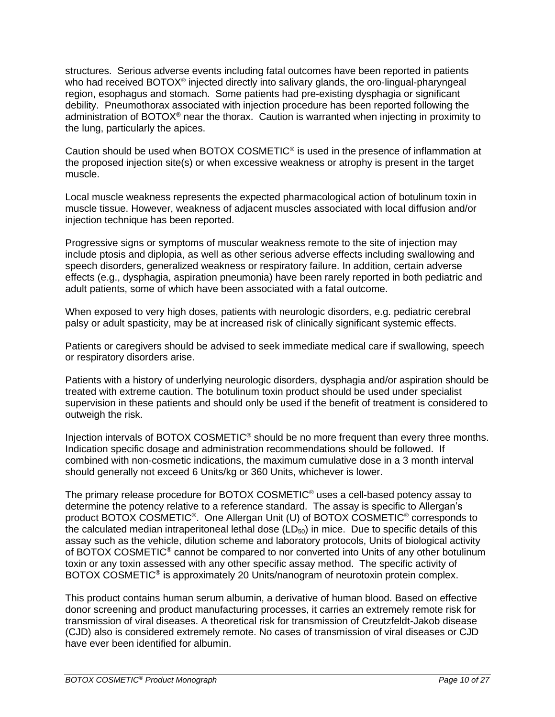structures. Serious adverse events including fatal outcomes have been reported in patients who had received BOTOX<sup>®</sup> injected directly into salivary glands, the oro-lingual-pharyngeal region, esophagus and stomach. Some patients had pre-existing dysphagia or significant debility. Pneumothorax associated with injection procedure has been reported following the administration of BOTOX® near the thorax. Caution is warranted when injecting in proximity to the lung, particularly the apices.

Caution should be used when BOTOX COSMETIC<sup>®</sup> is used in the presence of inflammation at the proposed injection site(s) or when excessive weakness or atrophy is present in the target muscle.

Local muscle weakness represents the expected pharmacological action of botulinum toxin in muscle tissue. However, weakness of adjacent muscles associated with local diffusion and/or injection technique has been reported.

Progressive signs or symptoms of muscular weakness remote to the site of injection may include ptosis and diplopia, as well as other serious adverse effects including swallowing and speech disorders, generalized weakness or respiratory failure. In addition, certain adverse effects (e.g., dysphagia, aspiration pneumonia) have been rarely reported in both pediatric and adult patients, some of which have been associated with a fatal outcome.

When exposed to very high doses, patients with neurologic disorders, e.g. pediatric cerebral palsy or adult spasticity, may be at increased risk of clinically significant systemic effects.

Patients or caregivers should be advised to seek immediate medical care if swallowing, speech or respiratory disorders arise.

Patients with a history of underlying neurologic disorders, dysphagia and/or aspiration should be treated with extreme caution. The botulinum toxin product should be used under specialist supervision in these patients and should only be used if the benefit of treatment is considered to outweigh the risk.

Injection intervals of BOTOX COSMETIC® should be no more frequent than every three months. Indication specific dosage and administration recommendations should be followed. If combined with non-cosmetic indications, the maximum cumulative dose in a 3 month interval should generally not exceed 6 Units/kg or 360 Units, whichever is lower.

The primary release procedure for BOTOX COSMETIC® uses a cell-based potency assay to determine the potency relative to a reference standard. The assay is specific to Allergan's product BOTOX COSMETIC®. One Allergan Unit (U) of BOTOX COSMETIC® corresponds to the calculated median intraperitoneal lethal dose  $(LD_{50})$  in mice. Due to specific details of this assay such as the vehicle, dilution scheme and laboratory protocols, Units of biological activity of BOTOX COSMETIC® cannot be compared to nor converted into Units of any other botulinum toxin or any toxin assessed with any other specific assay method. The specific activity of BOTOX COSMETIC<sup>®</sup> is approximately 20 Units/nanogram of neurotoxin protein complex.

This product contains human serum albumin, a derivative of human blood. Based on effective donor screening and product manufacturing processes, it carries an extremely remote risk for transmission of viral diseases. A theoretical risk for transmission of Creutzfeldt-Jakob disease (CJD) also is considered extremely remote. No cases of transmission of viral diseases or CJD have ever been identified for albumin.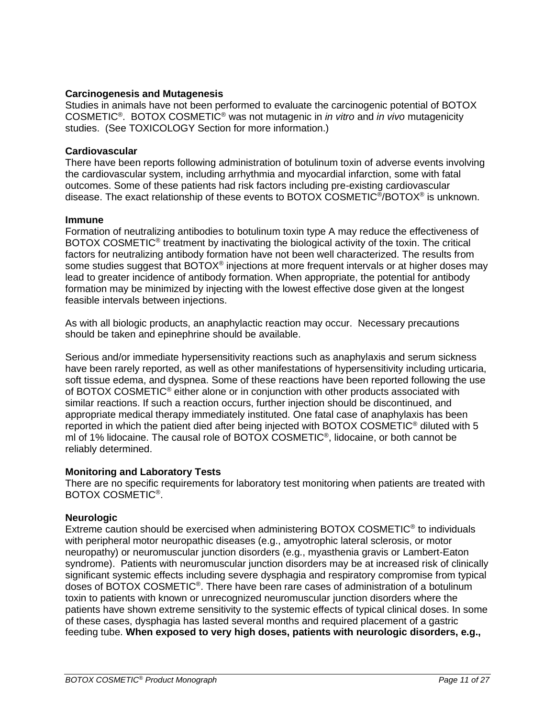#### **Carcinogenesis and Mutagenesis**

Studies in animals have not been performed to evaluate the carcinogenic potential of BOTOX COSMETIC® . BOTOX COSMETIC® was not mutagenic in *in vitro* and *in vivo* mutagenicity studies. (See TOXICOLOGY Section for more information.)

#### **Cardiovascular**

There have been reports following administration of botulinum toxin of adverse events involving the cardiovascular system, including arrhythmia and myocardial infarction, some with fatal outcomes. Some of these patients had risk factors including pre-existing cardiovascular disease. The exact relationship of these events to BOTOX COSMETIC<sup>®</sup>/BOTOX<sup>®</sup> is unknown.

#### **Immune**

Formation of neutralizing antibodies to botulinum toxin type A may reduce the effectiveness of BOTOX COSMETIC<sup>®</sup> treatment by inactivating the biological activity of the toxin. The critical factors for neutralizing antibody formation have not been well characterized. The results from some studies suggest that BOTOX® injections at more frequent intervals or at higher doses may lead to greater incidence of antibody formation. When appropriate, the potential for antibody formation may be minimized by injecting with the lowest effective dose given at the longest feasible intervals between injections.

As with all biologic products, an anaphylactic reaction may occur. Necessary precautions should be taken and epinephrine should be available.

Serious and/or immediate hypersensitivity reactions such as anaphylaxis and serum sickness have been rarely reported, as well as other manifestations of hypersensitivity including urticaria, soft tissue edema, and dyspnea. Some of these reactions have been reported following the use of BOTOX COSMETIC® either alone or in conjunction with other products associated with similar reactions. If such a reaction occurs, further injection should be discontinued, and appropriate medical therapy immediately instituted. One fatal case of anaphylaxis has been reported in which the patient died after being injected with BOTOX COSMETIC® diluted with 5 ml of 1% lidocaine. The causal role of BOTOX COSMETIC® , lidocaine, or both cannot be reliably determined.

### **Monitoring and Laboratory Tests**

There are no specific requirements for laboratory test monitoring when patients are treated with BOTOX COSMETIC® .

#### **Neurologic**

Extreme caution should be exercised when administering BOTOX COSMETIC<sup>®</sup> to individuals with peripheral motor neuropathic diseases (e.g., amyotrophic lateral sclerosis, or motor neuropathy) or neuromuscular junction disorders (e.g., myasthenia gravis or Lambert-Eaton syndrome). Patients with neuromuscular junction disorders may be at increased risk of clinically significant systemic effects including severe dysphagia and respiratory compromise from typical doses of BOTOX COSMETIC®. There have been rare cases of administration of a botulinum toxin to patients with known or unrecognized neuromuscular junction disorders where the patients have shown extreme sensitivity to the systemic effects of typical clinical doses. In some of these cases, dysphagia has lasted several months and required placement of a gastric feeding tube. **When exposed to very high doses, patients with neurologic disorders, e.g.,**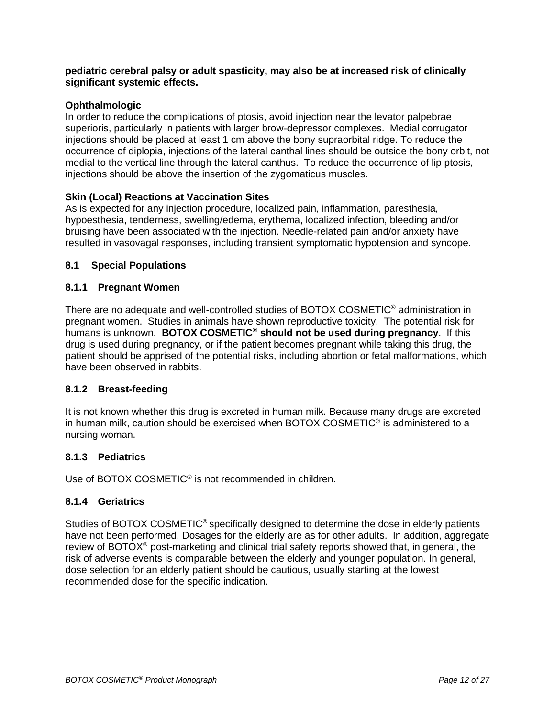#### **pediatric cerebral palsy or adult spasticity, may also be at increased risk of clinically significant systemic effects.**

# **Ophthalmologic**

In order to reduce the complications of ptosis, avoid injection near the levator palpebrae superioris, particularly in patients with larger brow-depressor complexes. Medial corrugator injections should be placed at least 1 cm above the bony supraorbital ridge. To reduce the occurrence of diplopia, injections of the lateral canthal lines should be outside the bony orbit, not medial to the vertical line through the lateral canthus. To reduce the occurrence of lip ptosis, injections should be above the insertion of the zygomaticus muscles.

# **Skin (Local) Reactions at Vaccination Sites**

As is expected for any injection procedure, localized pain, inflammation, paresthesia, hypoesthesia, tenderness, swelling/edema, erythema, localized infection, bleeding and/or bruising have been associated with the injection. Needle-related pain and/or anxiety have resulted in vasovagal responses, including transient symptomatic hypotension and syncope.

### <span id="page-11-0"></span>**8.1 Special Populations**

# <span id="page-11-1"></span>**8.1.1 Pregnant Women**

There are no adequate and well-controlled studies of BOTOX COSMETIC® administration in pregnant women. Studies in animals have shown reproductive toxicity. The potential risk for humans is unknown. **BOTOX COSMETIC® should not be used during pregnancy**. If this drug is used during pregnancy, or if the patient becomes pregnant while taking this drug, the patient should be apprised of the potential risks, including abortion or fetal malformations, which have been observed in rabbits.

### <span id="page-11-2"></span>**8.1.2 Breast-feeding**

It is not known whether this drug is excreted in human milk. Because many drugs are excreted in human milk, caution should be exercised when BOTOX COSMETIC<sup>®</sup> is administered to a nursing woman.

### <span id="page-11-3"></span>**8.1.3 Pediatrics**

Use of BOTOX COSMETIC<sup>®</sup> is not recommended in children.

### <span id="page-11-4"></span>**8.1.4 Geriatrics**

Studies of BOTOX COSMETIC<sup>®</sup> specifically designed to determine the dose in elderly patients have not been performed. Dosages for the elderly are as for other adults. In addition, aggregate review of BOTOX<sup>®</sup> post-marketing and clinical trial safety reports showed that, in general, the risk of adverse events is comparable between the elderly and younger population. In general, dose selection for an elderly patient should be cautious, usually starting at the lowest recommended dose for the specific indication.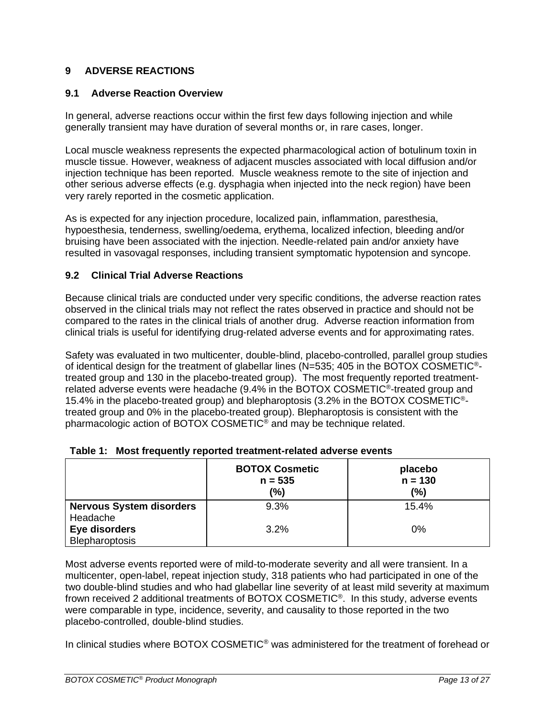# <span id="page-12-0"></span>**9 ADVERSE REACTIONS**

#### <span id="page-12-1"></span>**9.1 Adverse Reaction Overview**

In general, adverse reactions occur within the first few days following injection and while generally transient may have duration of several months or, in rare cases, longer.

Local muscle weakness represents the expected pharmacological action of botulinum toxin in muscle tissue. However, weakness of adjacent muscles associated with local diffusion and/or injection technique has been reported. Muscle weakness remote to the site of injection and other serious adverse effects (e.g. dysphagia when injected into the neck region) have been very rarely reported in the cosmetic application.

As is expected for any injection procedure, localized pain, inflammation, paresthesia, hypoesthesia, tenderness, swelling/oedema, erythema, localized infection, bleeding and/or bruising have been associated with the injection. Needle-related pain and/or anxiety have resulted in vasovagal responses, including transient symptomatic hypotension and syncope.

#### <span id="page-12-2"></span>**9.2 Clinical Trial Adverse Reactions**

Because clinical trials are conducted under very specific conditions, the adverse reaction rates observed in the clinical trials may not reflect the rates observed in practice and should not be compared to the rates in the clinical trials of another drug. Adverse reaction information from clinical trials is useful for identifying drug-related adverse events and for approximating rates.

Safety was evaluated in two multicenter, double-blind, placebo-controlled, parallel group studies of identical design for the treatment of glabellar lines (N=535; 405 in the BOTOX COSMETIC®treated group and 130 in the placebo-treated group). The most frequently reported treatmentrelated adverse events were headache (9.4% in the BOTOX COSMETIC®-treated group and 15.4% in the placebo-treated group) and blepharoptosis (3.2% in the BOTOX COSMETIC® treated group and 0% in the placebo-treated group). Blepharoptosis is consistent with the pharmacologic action of BOTOX COSMETIC® and may be technique related.

|                                             | <b>BOTOX Cosmetic</b><br>$n = 535$<br>(%) | placebo<br>$n = 130$<br>(%) |
|---------------------------------------------|-------------------------------------------|-----------------------------|
| <b>Nervous System disorders</b><br>Headache | 9.3%                                      | 15.4%                       |
| Eye disorders<br>Blepharoptosis             | 3.2%                                      | $0\%$                       |

#### **Table 1: Most frequently reported treatment-related adverse events**

Most adverse events reported were of mild-to-moderate severity and all were transient. In a multicenter, open-label, repeat injection study, 318 patients who had participated in one of the two double-blind studies and who had glabellar line severity of at least mild severity at maximum frown received 2 additional treatments of BOTOX COSMETIC® . In this study, adverse events were comparable in type, incidence, severity, and causality to those reported in the two placebo-controlled, double-blind studies.

In clinical studies where BOTOX COSMETIC® was administered for the treatment of forehead or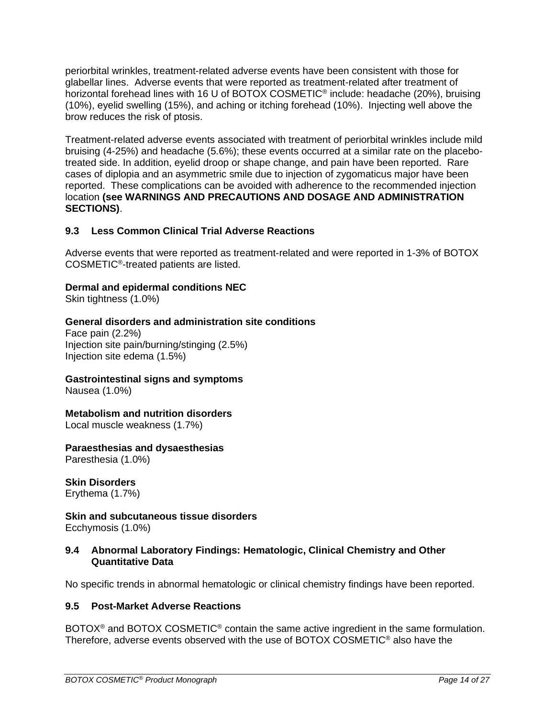periorbital wrinkles, treatment-related adverse events have been consistent with those for glabellar lines. Adverse events that were reported as treatment-related after treatment of horizontal forehead lines with 16 U of BOTOX COSMETIC® include: headache (20%), bruising (10%), eyelid swelling (15%), and aching or itching forehead (10%). Injecting well above the brow reduces the risk of ptosis.

Treatment-related adverse events associated with treatment of periorbital wrinkles include mild bruising (4-25%) and headache (5.6%); these events occurred at a similar rate on the placebotreated side. In addition, eyelid droop or shape change, and pain have been reported. Rare cases of diplopia and an asymmetric smile due to injection of zygomaticus major have been reported. These complications can be avoided with adherence to the recommended injection location **(see WARNINGS AND PRECAUTIONS AND DOSAGE AND ADMINISTRATION SECTIONS)**.

# <span id="page-13-0"></span>**9.3 Less Common Clinical Trial Adverse Reactions**

Adverse events that were reported as treatment-related and were reported in 1-3% of BOTOX COSMETIC® -treated patients are listed.

# **Dermal and epidermal conditions NEC**

Skin tightness (1.0%)

### **General disorders and administration site conditions**

Face pain (2.2%) Injection site pain/burning/stinging (2.5%) Injection site edema (1.5%)

### **Gastrointestinal signs and symptoms**

Nausea (1.0%)

# **[Metabolism and nutrition disorders](http://bioportal.bioontology.org/ontologies/MEDDRA/?p=classes&conceptid=http%3A%2F%2Fpurl.bioontology.org%2Fontology%2FMEDDRA%2F10027433)**

Local muscle weakness (1.7%)

### **Paraesthesias and dysaesthesias**

Paresthesia (1.0%)

# **Skin Disorders**

Erythema (1.7%)

**Skin and subcutaneous tissue disorders** Ecchymosis (1.0%)

#### <span id="page-13-1"></span>**9.4 Abnormal Laboratory Findings: Hematologic, Clinical Chemistry and Other Quantitative Data**

No specific trends in abnormal hematologic or clinical chemistry findings have been reported.

### <span id="page-13-2"></span>**9.5 Post-Market Adverse Reactions**

BOTOX<sup>®</sup> and BOTOX COSMETIC<sup>®</sup> contain the same active ingredient in the same formulation. Therefore, adverse events observed with the use of BOTOX COSMETIC® also have the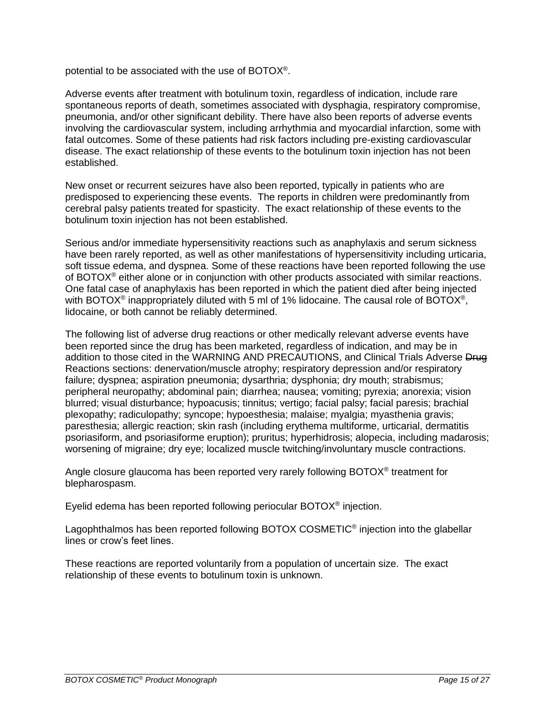potential to be associated with the use of BOTOX®.

Adverse events after treatment with botulinum toxin, regardless of indication, include rare spontaneous reports of death, sometimes associated with dysphagia, respiratory compromise, pneumonia, and/or other significant debility. There have also been reports of adverse events involving the cardiovascular system, including arrhythmia and myocardial infarction, some with fatal outcomes. Some of these patients had risk factors including pre-existing cardiovascular disease. The exact relationship of these events to the botulinum toxin injection has not been established.

New onset or recurrent seizures have also been reported, typically in patients who are predisposed to experiencing these events. The reports in children were predominantly from cerebral palsy patients treated for spasticity. The exact relationship of these events to the botulinum toxin injection has not been established.

Serious and/or immediate hypersensitivity reactions such as anaphylaxis and serum sickness have been rarely reported, as well as other manifestations of hypersensitivity including urticaria, soft tissue edema, and dyspnea. Some of these reactions have been reported following the use of BOTOX® either alone or in conjunction with other products associated with similar reactions. One fatal case of anaphylaxis has been reported in which the patient died after being injected with BOTOX<sup>®</sup> inappropriately diluted with 5 ml of 1% lidocaine. The causal role of BOTOX<sup>®</sup>, lidocaine, or both cannot be reliably determined.

The following list of adverse drug reactions or other medically relevant adverse events have been reported since the drug has been marketed, regardless of indication, and may be in addition to those cited in the WARNING AND PRECAUTIONS, and Clinical Trials Adverse Drug Reactions sections: denervation/muscle atrophy; respiratory depression and/or respiratory failure; dyspnea; aspiration pneumonia; dysarthria; dysphonia; dry mouth; strabismus; peripheral neuropathy; abdominal pain; diarrhea; nausea; vomiting; pyrexia; anorexia; vision blurred; visual disturbance; hypoacusis; tinnitus; vertigo; facial palsy; facial paresis; brachial plexopathy; radiculopathy; syncope; hypoesthesia; malaise; myalgia; myasthenia gravis; paresthesia; allergic reaction; skin rash (including erythema multiforme, urticarial, dermatitis psoriasiform, and psoriasiforme eruption); pruritus; hyperhidrosis; alopecia, including madarosis; worsening of migraine; dry eye; localized muscle twitching/involuntary muscle contractions.

Angle closure glaucoma has been reported very rarely following BOTOX® treatment for blepharospasm.

Eyelid edema has been reported following periocular BOTOX® injection.

Lagophthalmos has been reported following BOTOX COSMETIC<sup>®</sup> injection into the glabellar lines or crow's feet lines.

These reactions are reported voluntarily from a population of uncertain size. The exact relationship of these events to botulinum toxin is unknown.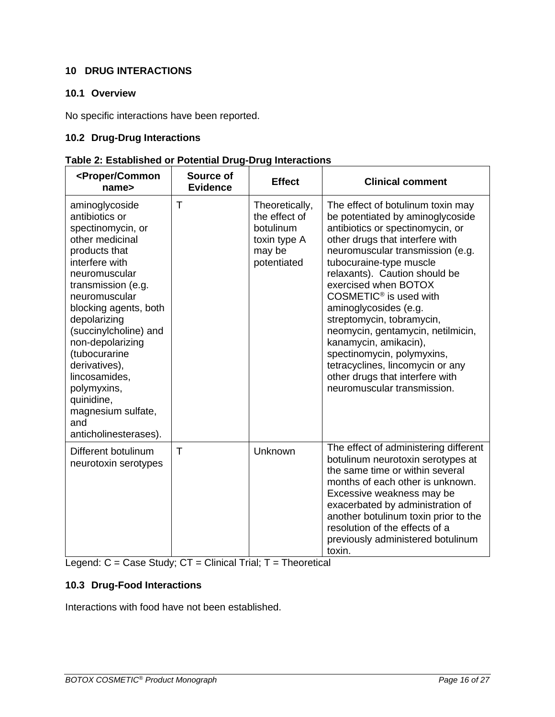# <span id="page-15-0"></span>**10 DRUG INTERACTIONS**

# <span id="page-15-1"></span>**10.1 Overview**

No specific interactions have been reported.

# <span id="page-15-2"></span>**10.2 Drug-Drug Interactions**

# **Table 2: Established or Potential Drug-Drug Interactions**

| <proper common<br="">name&gt;</proper>                                                                                                                                                                                                                                                                                                                                                          | Source of<br><b>Evidence</b> | <b>Effect</b>                                                                         | <b>Clinical comment</b>                                                                                                                                                                                                                                                                                                                                                                                                                                                                                                                                            |
|-------------------------------------------------------------------------------------------------------------------------------------------------------------------------------------------------------------------------------------------------------------------------------------------------------------------------------------------------------------------------------------------------|------------------------------|---------------------------------------------------------------------------------------|--------------------------------------------------------------------------------------------------------------------------------------------------------------------------------------------------------------------------------------------------------------------------------------------------------------------------------------------------------------------------------------------------------------------------------------------------------------------------------------------------------------------------------------------------------------------|
| aminoglycoside<br>antibiotics or<br>spectinomycin, or<br>other medicinal<br>products that<br>interfere with<br>neuromuscular<br>transmission (e.g.<br>neuromuscular<br>blocking agents, both<br>depolarizing<br>(succinylcholine) and<br>non-depolarizing<br>(tubocurarine<br>derivatives),<br>lincosamides,<br>polymyxins,<br>quinidine,<br>magnesium sulfate,<br>and<br>anticholinesterases). | T                            | Theoretically,<br>the effect of<br>botulinum<br>toxin type A<br>may be<br>potentiated | The effect of botulinum toxin may<br>be potentiated by aminoglycoside<br>antibiotics or spectinomycin, or<br>other drugs that interfere with<br>neuromuscular transmission (e.g.<br>tubocuraine-type muscle<br>relaxants). Caution should be<br>exercised when BOTOX<br>COSMETIC <sup>®</sup> is used with<br>aminoglycosides (e.g.<br>streptomycin, tobramycin,<br>neomycin, gentamycin, netilmicin,<br>kanamycin, amikacin),<br>spectinomycin, polymyxins,<br>tetracyclines, lincomycin or any<br>other drugs that interfere with<br>neuromuscular transmission. |
| Different botulinum<br>neurotoxin serotypes                                                                                                                                                                                                                                                                                                                                                     | T                            | Unknown                                                                               | The effect of administering different<br>botulinum neurotoxin serotypes at<br>the same time or within several<br>months of each other is unknown.<br>Excessive weakness may be<br>exacerbated by administration of<br>another botulinum toxin prior to the<br>resolution of the effects of a<br>previously administered botulinum<br>toxin.                                                                                                                                                                                                                        |

Legend: C = Case Study; CT = Clinical Trial; T = Theoretical

# <span id="page-15-3"></span>**10.3 Drug-Food Interactions**

Interactions with food have not been established.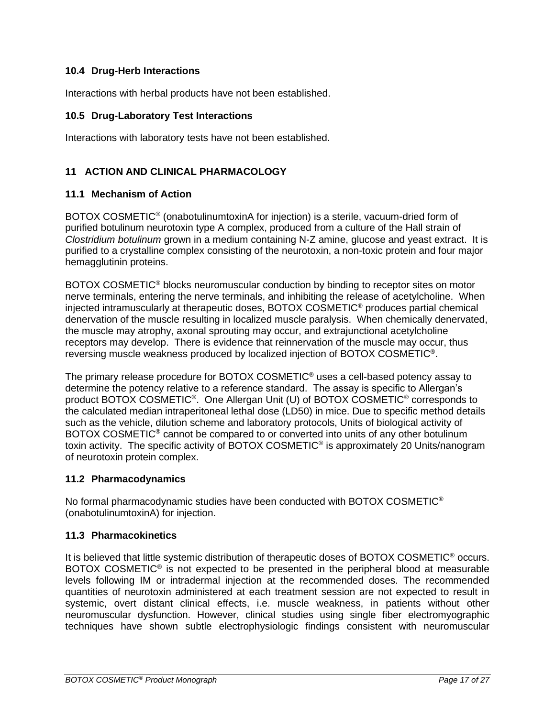# <span id="page-16-0"></span>**10.4 Drug-Herb Interactions**

<span id="page-16-1"></span>Interactions with herbal products have not been established.

### **10.5 Drug-Laboratory Test Interactions**

Interactions with laboratory tests have not been established.

# <span id="page-16-2"></span>**11 ACTION AND CLINICAL PHARMACOLOGY**

#### <span id="page-16-3"></span>**11.1 Mechanism of Action**

BOTOX COSMETIC<sup>®</sup> (onabotulinumtoxinA for injection) is a sterile, vacuum-dried form of purified botulinum neurotoxin type A complex, produced from a culture of the Hall strain of *Clostridium botulinum* grown in a medium containing N-Z amine, glucose and yeast extract. It is purified to a crystalline complex consisting of the neurotoxin, a non-toxic protein and four major hemagglutinin proteins.

BOTOX COSMETIC® blocks neuromuscular conduction by binding to receptor sites on motor nerve terminals, entering the nerve terminals, and inhibiting the release of acetylcholine. When injected intramuscularly at therapeutic doses, BOTOX COSMETIC® produces partial chemical denervation of the muscle resulting in localized muscle paralysis. When chemically denervated, the muscle may atrophy, axonal sprouting may occur, and extrajunctional acetylcholine receptors may develop. There is evidence that reinnervation of the muscle may occur, thus reversing muscle weakness produced by localized injection of BOTOX COSMETIC® .

The primary release procedure for BOTOX COSMETIC® uses a cell-based potency assay to determine the potency relative to a reference standard. The assay is specific to Allergan's product BOTOX COSMETIC®. One Allergan Unit (U) of BOTOX COSMETIC® corresponds to the calculated median intraperitoneal lethal dose (LD50) in mice. Due to specific method details such as the vehicle, dilution scheme and laboratory protocols, Units of biological activity of BOTOX COSMETIC® cannot be compared to or converted into units of any other botulinum toxin activity. The specific activity of BOTOX COSMETIC® is approximately 20 Units/nanogram of neurotoxin protein complex.

#### <span id="page-16-4"></span>**11.2 Pharmacodynamics**

No formal pharmacodynamic studies have been conducted with BOTOX COSMETIC® (onabotulinumtoxinA) for injection.

### <span id="page-16-5"></span>**11.3 Pharmacokinetics**

It is believed that little systemic distribution of therapeutic doses of BOTOX COSMETIC® occurs. BOTOX COSMETIC<sup>®</sup> is not expected to be presented in the peripheral blood at measurable levels following IM or intradermal injection at the recommended doses. The recommended quantities of neurotoxin administered at each treatment session are not expected to result in systemic, overt distant clinical effects, i.e. muscle weakness, in patients without other neuromuscular dysfunction. However, clinical studies using single fiber electromyographic techniques have shown subtle electrophysiologic findings consistent with neuromuscular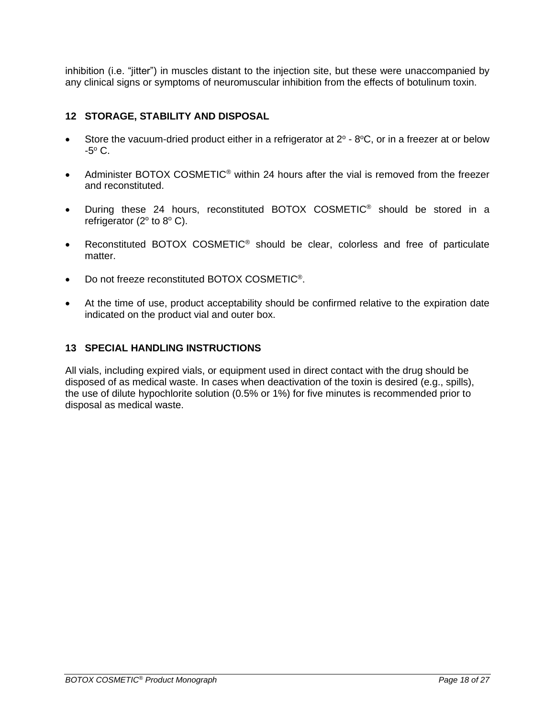inhibition (i.e. "jitter") in muscles distant to the injection site, but these were unaccompanied by any clinical signs or symptoms of neuromuscular inhibition from the effects of botulinum toxin.

# <span id="page-17-0"></span>**12 STORAGE, STABILITY AND DISPOSAL**

- Store the vacuum-dried product either in a refrigerator at  $2^{\circ}$   $8^{\circ}$ C, or in a freezer at or below  $-5^{\circ}$  C.
- Administer BOTOX COSMETIC<sup>®</sup> within 24 hours after the vial is removed from the freezer and reconstituted.
- During these 24 hours, reconstituted BOTOX COSMETIC® should be stored in a refrigerator ( $2^{\circ}$  to  $8^{\circ}$  C).
- Reconstituted BOTOX COSMETIC<sup>®</sup> should be clear, colorless and free of particulate matter.
- Do not freeze reconstituted BOTOX COSMETIC<sup>®</sup>.
- At the time of use, product acceptability should be confirmed relative to the expiration date indicated on the product vial and outer box.

### <span id="page-17-1"></span>**13 SPECIAL HANDLING INSTRUCTIONS**

All vials, including expired vials, or equipment used in direct contact with the drug should be disposed of as medical waste. In cases when deactivation of the toxin is desired (e.g., spills), the use of dilute hypochlorite solution (0.5% or 1%) for five minutes is recommended prior to disposal as medical waste.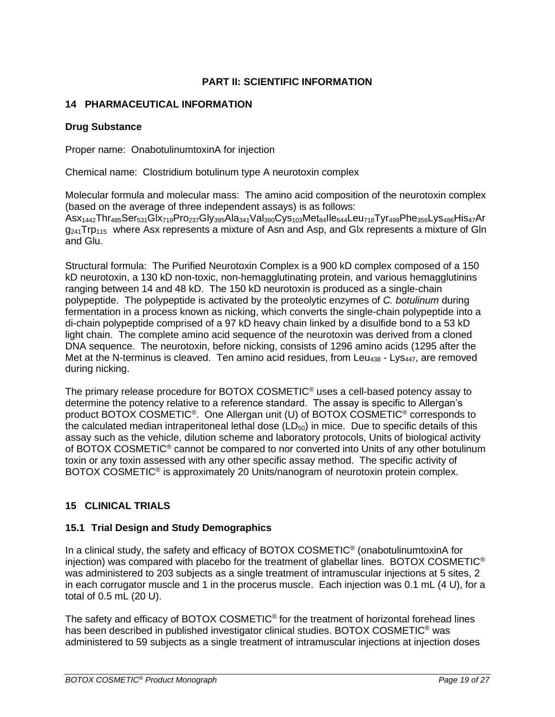# **PART II: SCIENTIFIC INFORMATION**

# <span id="page-18-1"></span><span id="page-18-0"></span>**14 PHARMACEUTICAL INFORMATION**

# **Drug Substance**

Proper name: OnabotulinumtoxinA for injection

Chemical name: Clostridium botulinum type A neurotoxin complex

Molecular formula and molecular mass: The amino acid composition of the neurotoxin complex (based on the average of three independent assays) is as follows: Asx1442Thr485Ser531Glx719Pro237Gly395Ala341Val390Cys103Met84Ile644Leu718Tyr499Phe356Lys486His47Ar  $q_{241}$ Trp<sub>115</sub> where Asx represents a mixture of Asn and Asp, and Glx represents a mixture of Gln and Glu.

Structural formula: The Purified Neurotoxin Complex is a 900 kD complex composed of a 150 kD neurotoxin, a 130 kD non-toxic, non-hemagglutinating protein, and various hemagglutinins ranging between 14 and 48 kD. The 150 kD neurotoxin is produced as a single-chain polypeptide. The polypeptide is activated by the proteolytic enzymes of *C. botulinum* during fermentation in a process known as nicking, which converts the single-chain polypeptide into a di-chain polypeptide comprised of a 97 kD heavy chain linked by a disulfide bond to a 53 kD light chain. The complete amino acid sequence of the neurotoxin was derived from a cloned DNA sequence. The neurotoxin, before nicking, consists of 1296 amino acids (1295 after the Met at the N-terminus is cleaved. Ten amino acid residues, from Leu<sub>438</sub> - Lys<sub>447</sub>, are removed during nicking.

The primary release procedure for BOTOX COSMETIC® uses a cell-based potency assay to determine the potency relative to a reference standard. The assay is specific to Allergan's product BOTOX COSMETIC<sup>®</sup>. One Allergan unit (U) of BOTOX COSMETIC<sup>®</sup> corresponds to the calculated median intraperitoneal lethal dose  $(LD_{50})$  in mice. Due to specific details of this assay such as the vehicle, dilution scheme and laboratory protocols, Units of biological activity of BOTOX COSMETIC® cannot be compared to nor converted into Units of any other botulinum toxin or any toxin assessed with any other specific assay method. The specific activity of BOTOX COSMETIC<sup>®</sup> is approximately 20 Units/nanogram of neurotoxin protein complex.

# <span id="page-18-2"></span>**15 CLINICAL TRIALS**

# <span id="page-18-3"></span>**15.1 Trial Design and Study Demographics**

In a clinical study, the safety and efficacy of BOTOX COSMETIC<sup>®</sup> (onabotulinumtoxinA for injection) was compared with placebo for the treatment of glabellar lines. BOTOX COSMETIC<sup>®</sup> was administered to 203 subjects as a single treatment of intramuscular injections at 5 sites, 2 in each corrugator muscle and 1 in the procerus muscle. Each injection was 0.1 mL (4 U), for a total of 0.5 mL (20 U).

The safety and efficacy of BOTOX COSMETIC<sup>®</sup> for the treatment of horizontal forehead lines has been described in published investigator clinical studies. BOTOX COSMETIC<sup>®</sup> was administered to 59 subjects as a single treatment of intramuscular injections at injection doses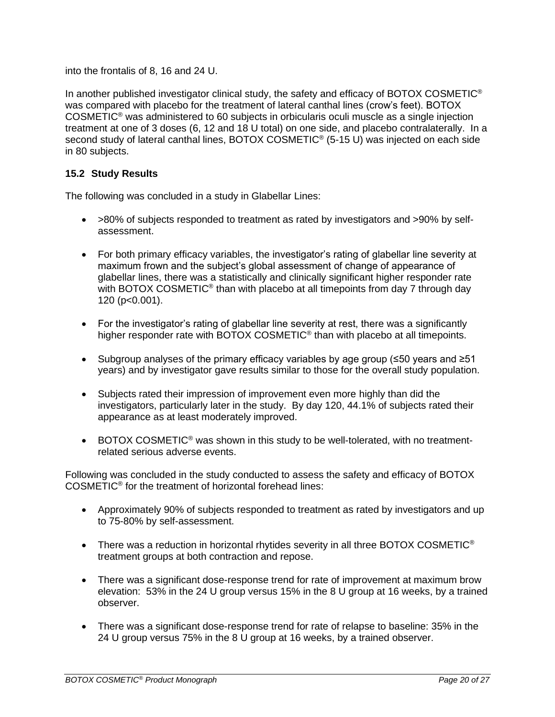into the frontalis of 8, 16 and 24 U.

In another published investigator clinical study, the safety and efficacy of BOTOX COSMETIC<sup>®</sup> was compared with placebo for the treatment of lateral canthal lines (crow's feet). BOTOX COSMETIC® was administered to 60 subjects in orbicularis oculi muscle as a single injection treatment at one of 3 doses (6, 12 and 18 U total) on one side, and placebo contralaterally. In a second study of lateral canthal lines, BOTOX COSMETIC<sup>®</sup> (5-15 U) was injected on each side in 80 subjects.

# <span id="page-19-0"></span>**15.2 Study Results**

The following was concluded in a study in Glabellar Lines:

- >80% of subjects responded to treatment as rated by investigators and >90% by selfassessment.
- For both primary efficacy variables, the investigator's rating of glabellar line severity at maximum frown and the subject's global assessment of change of appearance of glabellar lines, there was a statistically and clinically significant higher responder rate with BOTOX COSMETIC<sup>®</sup> than with placebo at all timepoints from day 7 through day 120 (p<0.001).
- For the investigator's rating of glabellar line severity at rest, there was a significantly higher responder rate with BOTOX COSMETIC<sup>®</sup> than with placebo at all timepoints.
- Subgroup analyses of the primary efficacy variables by age group (≤50 years and ≥51 years) and by investigator gave results similar to those for the overall study population.
- Subjects rated their impression of improvement even more highly than did the investigators, particularly later in the study. By day 120, 44.1% of subjects rated their appearance as at least moderately improved.
- BOTOX COSMETIC<sup>®</sup> was shown in this study to be well-tolerated, with no treatmentrelated serious adverse events.

Following was concluded in the study conducted to assess the safety and efficacy of BOTOX COSMETIC® for the treatment of horizontal forehead lines:

- Approximately 90% of subjects responded to treatment as rated by investigators and up to 75-80% by self-assessment.
- There was a reduction in horizontal rhytides severity in all three BOTOX COSMETIC<sup>®</sup> treatment groups at both contraction and repose.
- There was a significant dose-response trend for rate of improvement at maximum brow elevation: 53% in the 24 U group versus 15% in the 8 U group at 16 weeks, by a trained observer.
- There was a significant dose-response trend for rate of relapse to baseline: 35% in the 24 U group versus 75% in the 8 U group at 16 weeks, by a trained observer.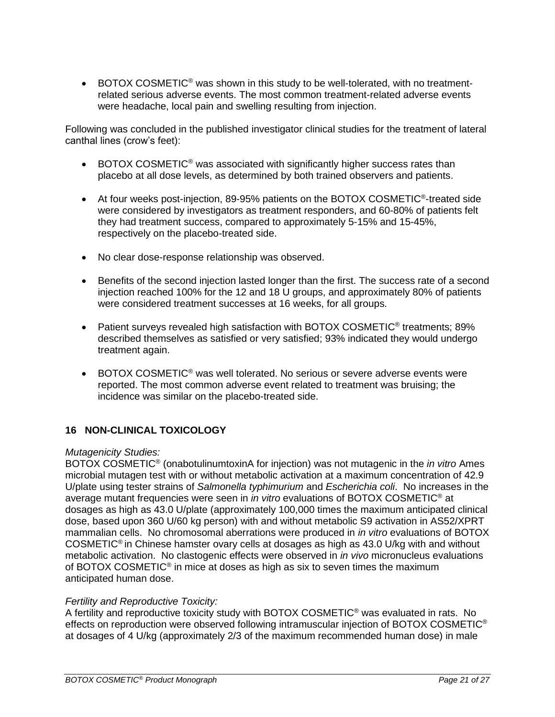• BOTOX COSMETIC<sup>®</sup> was shown in this study to be well-tolerated, with no treatmentrelated serious adverse events. The most common treatment-related adverse events were headache, local pain and swelling resulting from injection.

Following was concluded in the published investigator clinical studies for the treatment of lateral canthal lines (crow's feet):

- BOTOX COSMETIC<sup>®</sup> was associated with significantly higher success rates than placebo at all dose levels, as determined by both trained observers and patients.
- At four weeks post-injection, 89-95% patients on the BOTOX COSMETIC<sup>®</sup>-treated side were considered by investigators as treatment responders, and 60-80% of patients felt they had treatment success, compared to approximately 5-15% and 15-45%, respectively on the placebo-treated side.
- No clear dose-response relationship was observed.
- Benefits of the second injection lasted longer than the first. The success rate of a second injection reached 100% for the 12 and 18 U groups, and approximately 80% of patients were considered treatment successes at 16 weeks, for all groups.
- Patient surveys revealed high satisfaction with BOTOX COSMETIC<sup>®</sup> treatments; 89% described themselves as satisfied or very satisfied; 93% indicated they would undergo treatment again.
- BOTOX COSMETIC<sup>®</sup> was well tolerated. No serious or severe adverse events were reported. The most common adverse event related to treatment was bruising; the incidence was similar on the placebo-treated side.

# <span id="page-20-0"></span>**16 NON-CLINICAL TOXICOLOGY**

#### *Mutagenicity Studies:*

BOTOX COSMETIC® (onabotulinumtoxinA for injection) was not mutagenic in the *in vitro* Ames microbial mutagen test with or without metabolic activation at a maximum concentration of 42.9 U/plate using tester strains of *Salmonella typhimurium* and *Escherichia coli*. No increases in the average mutant frequencies were seen in *in vitro* evaluations of BOTOX COSMETIC® at dosages as high as 43.0 U/plate (approximately 100,000 times the maximum anticipated clinical dose, based upon 360 U/60 kg person) with and without metabolic S9 activation in AS52/XPRT mammalian cells. No chromosomal aberrations were produced in *in vitro* evaluations of BOTOX COSMETIC® in Chinese hamster ovary cells at dosages as high as 43.0 U/kg with and without metabolic activation. No clastogenic effects were observed in *in vivo* micronucleus evaluations of BOTOX COSMETIC<sup>®</sup> in mice at doses as high as six to seven times the maximum anticipated human dose.

### *Fertility and Reproductive Toxicity:*

A fertility and reproductive toxicity study with BOTOX COSMETIC® was evaluated in rats. No effects on reproduction were observed following intramuscular injection of BOTOX COSMETIC® at dosages of 4 U/kg (approximately 2/3 of the maximum recommended human dose) in male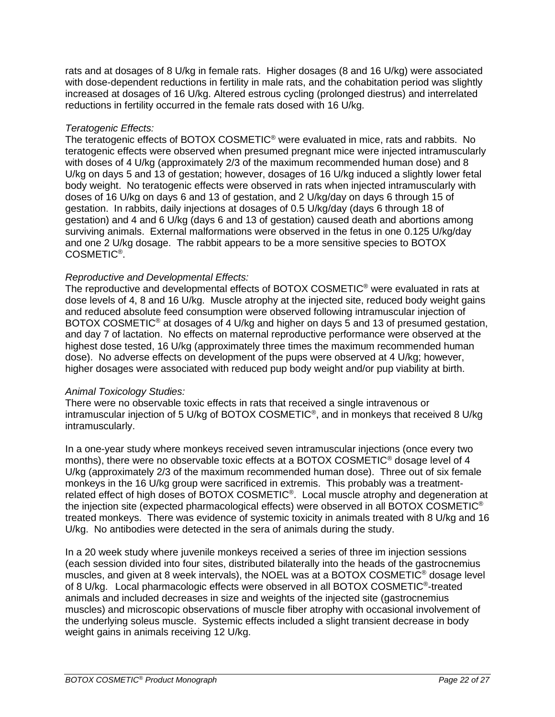rats and at dosages of 8 U/kg in female rats. Higher dosages (8 and 16 U/kg) were associated with dose-dependent reductions in fertility in male rats, and the cohabitation period was slightly increased at dosages of 16 U/kg. Altered estrous cycling (prolonged diestrus) and interrelated reductions in fertility occurred in the female rats dosed with 16 U/kg.

### *Teratogenic Effects:*

The teratogenic effects of BOTOX COSMETIC® were evaluated in mice, rats and rabbits. No teratogenic effects were observed when presumed pregnant mice were injected intramuscularly with doses of 4 U/kg (approximately 2/3 of the maximum recommended human dose) and 8 U/kg on days 5 and 13 of gestation; however, dosages of 16 U/kg induced a slightly lower fetal body weight. No teratogenic effects were observed in rats when injected intramuscularly with doses of 16 U/kg on days 6 and 13 of gestation, and 2 U/kg/day on days 6 through 15 of gestation. In rabbits, daily injections at dosages of 0.5 U/kg/day (days 6 through 18 of gestation) and 4 and 6 U/kg (days 6 and 13 of gestation) caused death and abortions among surviving animals. External malformations were observed in the fetus in one 0.125 U/kg/day and one 2 U/kg dosage. The rabbit appears to be a more sensitive species to BOTOX COSMETIC® .

# *Reproductive and Developmental Effects:*

The reproductive and developmental effects of BOTOX COSMETIC® were evaluated in rats at dose levels of 4, 8 and 16 U/kg. Muscle atrophy at the injected site, reduced body weight gains and reduced absolute feed consumption were observed following intramuscular injection of BOTOX COSMETIC<sup>®</sup> at dosages of 4 U/kg and higher on days 5 and 13 of presumed gestation, and day 7 of lactation. No effects on maternal reproductive performance were observed at the highest dose tested, 16 U/kg (approximately three times the maximum recommended human dose). No adverse effects on development of the pups were observed at 4 U/kg; however, higher dosages were associated with reduced pup body weight and/or pup viability at birth.

### *Animal Toxicology Studies:*

There were no observable toxic effects in rats that received a single intravenous or intramuscular injection of 5 U/kg of BOTOX COSMETIC® , and in monkeys that received 8 U/kg intramuscularly.

In a one-year study where monkeys received seven intramuscular injections (once every two months), there were no observable toxic effects at a BOTOX COSMETIC® dosage level of 4 U/kg (approximately 2/3 of the maximum recommended human dose). Three out of six female monkeys in the 16 U/kg group were sacrificed in extremis. This probably was a treatmentrelated effect of high doses of BOTOX COSMETIC<sup>®</sup>. Local muscle atrophy and degeneration at the injection site (expected pharmacological effects) were observed in all BOTOX COSMETIC® treated monkeys. There was evidence of systemic toxicity in animals treated with 8 U/kg and 16 U/kg. No antibodies were detected in the sera of animals during the study.

In a 20 week study where juvenile monkeys received a series of three im injection sessions (each session divided into four sites, distributed bilaterally into the heads of the gastrocnemius muscles, and given at 8 week intervals), the NOEL was at a BOTOX COSMETIC® dosage level of 8 U/kg. Local pharmacologic effects were observed in all BOTOX COSMETIC<sup>®</sup>-treated animals and included decreases in size and weights of the injected site (gastrocnemius muscles) and microscopic observations of muscle fiber atrophy with occasional involvement of the underlying soleus muscle. Systemic effects included a slight transient decrease in body weight gains in animals receiving 12 U/kg.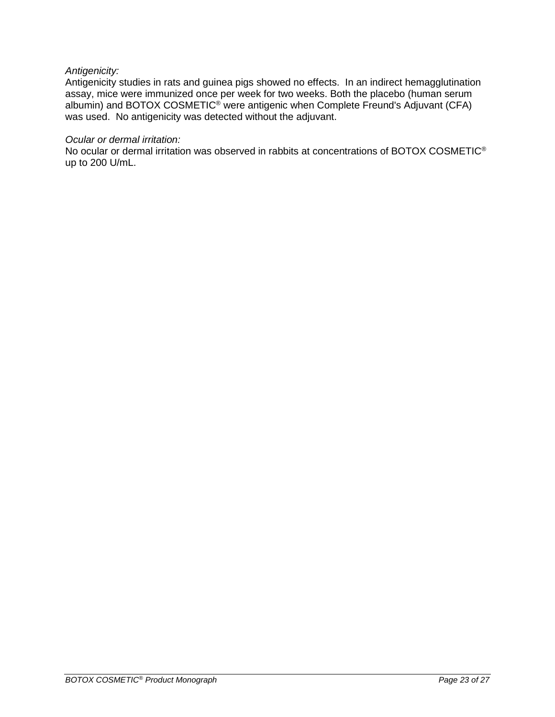### *Antigenicity:*

Antigenicity studies in rats and guinea pigs showed no effects. In an indirect hemagglutination assay, mice were immunized once per week for two weeks. Both the placebo (human serum albumin) and BOTOX COSMETIC<sup>®</sup> were antigenic when Complete Freund's Adjuvant (CFA) was used. No antigenicity was detected without the adjuvant.

#### *Ocular or dermal irritation:*

No ocular or dermal irritation was observed in rabbits at concentrations of BOTOX COSMETIC® up to 200 U/mL.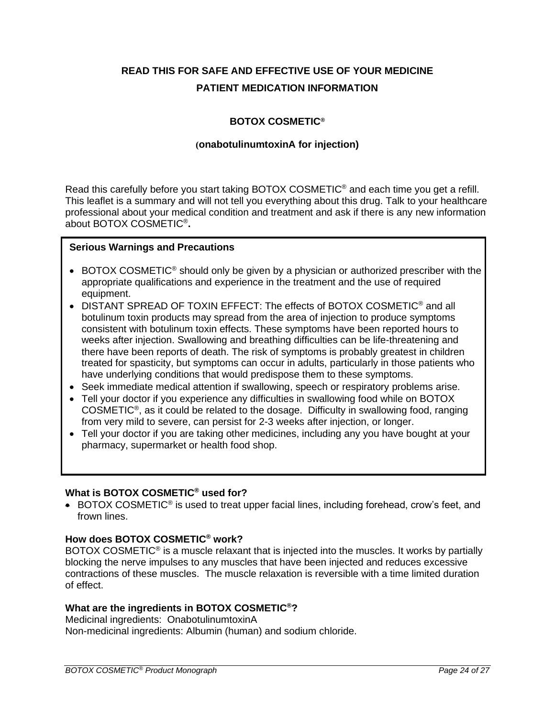# <span id="page-23-0"></span>**READ THIS FOR SAFE AND EFFECTIVE USE OF YOUR MEDICINE PATIENT MEDICATION INFORMATION**

# **BOTOX COSMETIC®**

### **(onabotulinumtoxinA for injection)**

Read this carefully before you start taking BOTOX COSMETIC® and each time you get a refill. This leaflet is a summary and will not tell you everything about this drug. Talk to your healthcare professional about your medical condition and treatment and ask if there is any new information about BOTOX COSMETIC® **.**

### **Serious Warnings and Precautions**

- BOTOX COSMETIC<sup>®</sup> should only be given by a physician or authorized prescriber with the appropriate qualifications and experience in the treatment and the use of required equipment.
- DISTANT SPREAD OF TOXIN EFFECT: The effects of BOTOX COSMETIC<sup>®</sup> and all botulinum toxin products may spread from the area of injection to produce symptoms consistent with botulinum toxin effects. These symptoms have been reported hours to weeks after injection. Swallowing and breathing difficulties can be life-threatening and there have been reports of death. The risk of symptoms is probably greatest in children treated for spasticity, but symptoms can occur in adults, particularly in those patients who have underlying conditions that would predispose them to these symptoms.
- Seek immediate medical attention if swallowing, speech or respiratory problems arise.
- Tell your doctor if you experience any difficulties in swallowing food while on BOTOX COSMETIC<sup>®</sup>, as it could be related to the dosage. Difficulty in swallowing food, ranging from very mild to severe, can persist for 2-3 weeks after injection, or longer.
- Tell your doctor if you are taking other medicines, including any you have bought at your pharmacy, supermarket or health food shop.

### **What is BOTOX COSMETIC® used for?**

 $\bullet$  BOTOX COSMETIC<sup>®</sup> is used to treat upper facial lines, including forehead, crow's feet, and frown lines.

#### **How does BOTOX COSMETIC® work?**

BOTOX COSMETIC<sup>®</sup> is a muscle relaxant that is injected into the muscles. It works by partially blocking the nerve impulses to any muscles that have been injected and reduces excessive contractions of these muscles. The muscle relaxation is reversible with a time limited duration of effect.

### **What are the ingredients in BOTOX COSMETIC®?**

Medicinal ingredients:OnabotulinumtoxinA Non-medicinal ingredients: Albumin (human) and sodium chloride.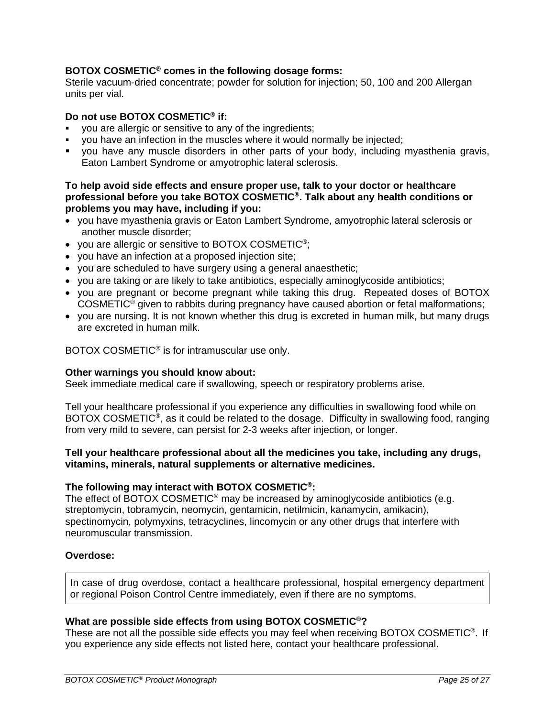# **BOTOX COSMETIC® comes in the following dosage forms:**

Sterile vacuum-dried concentrate; powder for solution for injection; 50, 100 and 200 Allergan units per vial.

#### **Do not use BOTOX COSMETIC® if:**

- you are allergic or sensitive to any of the ingredients;
- you have an infection in the muscles where it would normally be injected;
- you have any muscle disorders in other parts of your body, including myasthenia gravis, Eaton Lambert Syndrome or amyotrophic lateral sclerosis.

#### **To help avoid side effects and ensure proper use, talk to your doctor or healthcare professional before you take BOTOX COSMETIC® . Talk about any health conditions or problems you may have, including if you:**

- you have myasthenia gravis or Eaton Lambert Syndrome, amyotrophic lateral sclerosis or another muscle disorder;
- you are allergic or sensitive to BOTOX COSMETIC® ;
- you have an infection at a proposed injection site;
- you are scheduled to have surgery using a general anaesthetic;
- you are taking or are likely to take antibiotics, especially aminoglycoside antibiotics;
- you are pregnant or become pregnant while taking this drug. Repeated doses of BOTOX COSMETIC® given to rabbits during pregnancy have caused abortion or fetal malformations;
- you are nursing. It is not known whether this drug is excreted in human milk, but many drugs are excreted in human milk.

BOTOX COSMETIC<sup>®</sup> is for intramuscular use only.

#### **Other warnings you should know about:**

Seek immediate medical care if swallowing, speech or respiratory problems arise.

Tell your healthcare professional if you experience any difficulties in swallowing food while on BOTOX COSMETIC<sup>®</sup>, as it could be related to the dosage. Difficulty in swallowing food, ranging from very mild to severe, can persist for 2-3 weeks after injection, or longer.

#### **Tell your healthcare professional about all the medicines you take, including any drugs, vitamins, minerals, natural supplements or alternative medicines.**

#### **The following may interact with BOTOX COSMETIC® :**

The effect of BOTOX COSMETIC<sup>®</sup> may be increased by aminoglycoside antibiotics (e.g. streptomycin, tobramycin, neomycin, gentamicin, netilmicin, kanamycin, amikacin), spectinomycin, polymyxins, tetracyclines, lincomycin or any other drugs that interfere with neuromuscular transmission.

#### **Overdose:**

In case of drug overdose, contact a healthcare professional, hospital emergency department or regional Poison Control Centre immediately, even if there are no symptoms.

#### **What are possible side effects from using BOTOX COSMETIC®?**

These are not all the possible side effects you may feel when receiving BOTOX COSMETIC<sup>®</sup>. If you experience any side effects not listed here, contact your healthcare professional.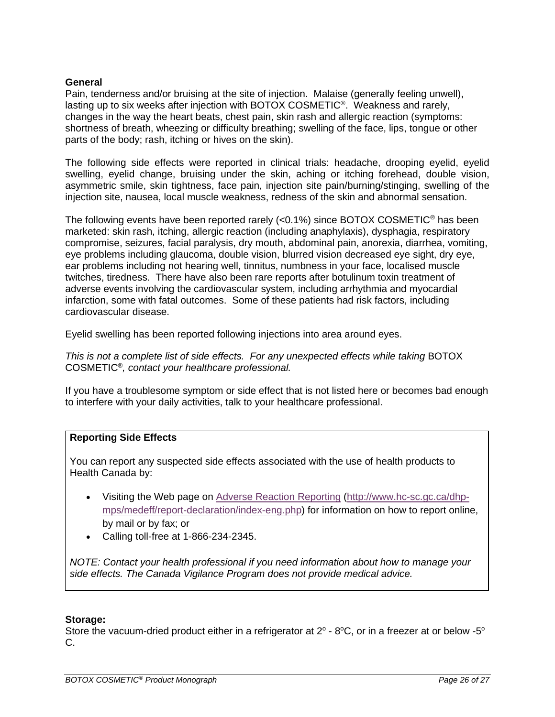#### **General**

Pain, tenderness and/or bruising at the site of injection. Malaise (generally feeling unwell), lasting up to six weeks after injection with BOTOX COSMETIC<sup>®</sup>. Weakness and rarely, changes in the way the heart beats, chest pain, skin rash and allergic reaction (symptoms: shortness of breath, wheezing or difficulty breathing; swelling of the face, lips, tongue or other parts of the body; rash, itching or hives on the skin).

The following side effects were reported in clinical trials: headache, drooping eyelid, eyelid swelling, eyelid change, bruising under the skin, aching or itching forehead, double vision, asymmetric smile, skin tightness, face pain, injection site pain/burning/stinging, swelling of the injection site, nausea, local muscle weakness, redness of the skin and abnormal sensation.

The following events have been reported rarely  $\langle$ <0.1%) since BOTOX COSMETIC<sup>®</sup> has been marketed: skin rash, itching, allergic reaction (including anaphylaxis), dysphagia, respiratory compromise, seizures, facial paralysis, dry mouth, abdominal pain, anorexia, diarrhea, vomiting, eye problems including glaucoma, double vision, blurred vision decreased eye sight, dry eye, ear problems including not hearing well, tinnitus, numbness in your face, localised muscle twitches, tiredness. There have also been rare reports after botulinum toxin treatment of adverse events involving the cardiovascular system, including arrhythmia and myocardial infarction, some with fatal outcomes. Some of these patients had risk factors, including cardiovascular disease.

Eyelid swelling has been reported following injections into area around eyes.

*This is not a complete list of side effects. For any unexpected effects while taking* BOTOX COSMETIC® *, contact your healthcare professional.*

If you have a troublesome symptom or side effect that is not listed here or becomes bad enough to interfere with your daily activities, talk to your healthcare professional.

### **Reporting Side Effects**

You can report any suspected side effects associated with the use of health products to Health Canada by:

- Visiting the Web page on [Adverse Reaction Reporting](http://www.hc-sc.gc.ca/dhp-mps/medeff/report-declaration/index-eng.php) [\(http://www.hc-sc.gc.ca/dhp](http://www.hc-sc.gc.ca/dhp-mps/medeff/report-declaration/index-eng.php)[mps/medeff/report-declaration/index-eng.php\)](http://www.hc-sc.gc.ca/dhp-mps/medeff/report-declaration/index-eng.php) for information on how to report online, by mail or by fax; or
- Calling toll-free at 1-866-234-2345.

*NOTE: Contact your health professional if you need information about how to manage your side effects. The Canada Vigilance Program does not provide medical advice.*

#### **Storage:**

Store the vacuum-dried product either in a refrigerator at  $2^{\circ}$  - 8°C, or in a freezer at or below -5° C.